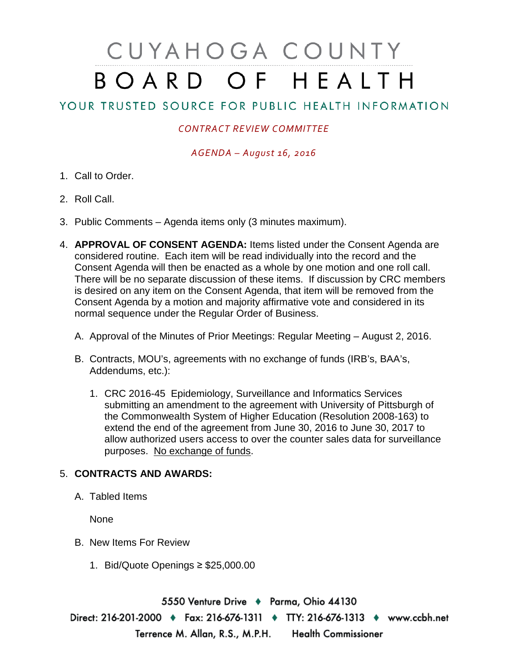# CUYAHOGA COUNTY BOARD OF HEALTH

# YOUR TRUSTED SOURCE FOR PUBLIC HEALTH INFORMATION

## *CONTRACT REVIEW COMMITTEE*

### *AGENDA – August 16, 2016*

- 1. Call to Order.
- 2. Roll Call.
- 3. Public Comments Agenda items only (3 minutes maximum).
- 4. **APPROVAL OF CONSENT AGENDA:** Items listed under the Consent Agenda are considered routine. Each item will be read individually into the record and the Consent Agenda will then be enacted as a whole by one motion and one roll call. There will be no separate discussion of these items. If discussion by CRC members is desired on any item on the Consent Agenda, that item will be removed from the Consent Agenda by a motion and majority affirmative vote and considered in its normal sequence under the Regular Order of Business.
	- A. Approval of the Minutes of Prior Meetings: Regular Meeting August 2, 2016.
	- B. Contracts, MOU's, agreements with no exchange of funds (IRB's, BAA's, Addendums, etc.):
		- 1. CRC 2016-45 Epidemiology, Surveillance and Informatics Services submitting an amendment to the agreement with University of Pittsburgh of the Commonwealth System of Higher Education (Resolution 2008-163) to extend the end of the agreement from June 30, 2016 to June 30, 2017 to allow authorized users access to over the counter sales data for surveillance purposes. No exchange of funds.

### 5. **CONTRACTS AND AWARDS:**

A. Tabled Items

None

- B. New Items For Review
	- 1. Bid/Quote Openings ≥ \$25,000.00

5550 Venture Drive + Parma, Ohio 44130 Direct: 216-201-2000 • Fax: 216-676-1311 • TTY: 216-676-1313 • www.ccbh.net Terrence M. Allan, R.S., M.P.H. Health Commissioner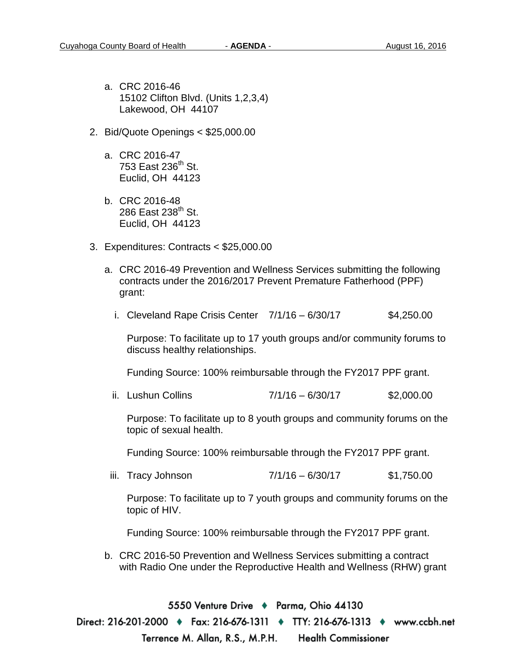- a. CRC 2016-46 15102 Clifton Blvd. (Units 1,2,3,4) Lakewood, OH 44107
- 2. Bid/Quote Openings < \$25,000.00
	- a. CRC 2016-47 753 East  $236<sup>th</sup>$  St. Euclid, OH 44123
	- b. CRC 2016-48 286 East  $238<sup>th</sup>$  St. Euclid, OH 44123
- 3. Expenditures: Contracts < \$25,000.00
	- a. CRC 2016-49 Prevention and Wellness Services submitting the following contracts under the 2016/2017 Prevent Premature Fatherhood (PPF) grant:
		- i. Cleveland Rape Crisis Center  $7/1/16 6/30/17$  \$4,250.00

Purpose: To facilitate up to 17 youth groups and/or community forums to discuss healthy relationships.

Funding Source: 100% reimbursable through the FY2017 PPF grant.

ii. Lushun Collins  $7/1/16 - 6/30/17$  \$2,000.00

Purpose: To facilitate up to 8 youth groups and community forums on the topic of sexual health.

Funding Source: 100% reimbursable through the FY2017 PPF grant.

iii. Tracy Johnson 7/1/16 – 6/30/17 \$1,750.00

Purpose: To facilitate up to 7 youth groups and community forums on the topic of HIV.

Funding Source: 100% reimbursable through the FY2017 PPF grant.

b. CRC 2016-50 Prevention and Wellness Services submitting a contract with Radio One under the Reproductive Health and Wellness (RHW) grant

5550 Venture Drive + Parma, Ohio 44130 Direct: 216-201-2000 ♦ Fax: 216-676-1311 ♦ TTY: 216-676-1313 ♦ www.ccbh.net Terrence M. Allan, R.S., M.P.H. Health Commissioner